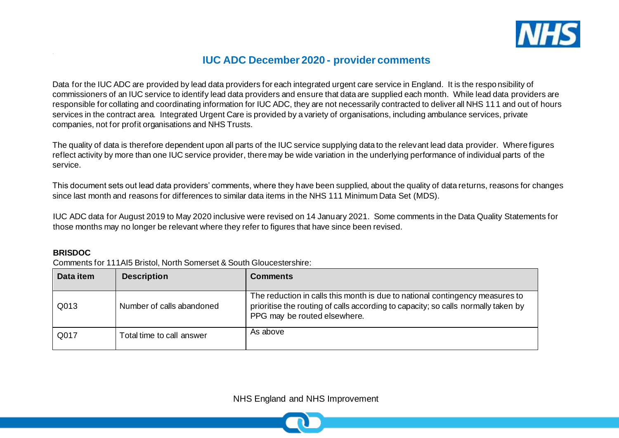

# **IUC ADC December 2020 - provider comments**

Data for the IUC ADC are provided by lead data providers for each integrated urgent care service in England. It is the responsibility of commissioners of an IUC service to identify lead data providers and ensure that data are supplied each month. While lead data providers are responsible for collating and coordinating information for IUC ADC, they are not necessarily contracted to deliver all NHS 111 and out of hours services in the contract area. Integrated Urgent Care is provided by a variety of organisations, including ambulance services, private companies, not for profit organisations and NHS Trusts.

The quality of data is therefore dependent upon all parts of the IUC service supplying data to the relevant lead data provider. Where figures reflect activity by more than one IUC service provider, there may be wide variation in the underlying performance of individual parts of the service.

This document sets out lead data providers' comments, where they have been supplied, about the quality of data returns, reasons for changes since last month and reasons for differences to similar data items in the NHS 111 Minimum Data Set (MDS).

IUC ADC data for August 2019 to May 2020 inclusive were revised on 14 January 2021. Some comments in the Data Quality Statements for those months may no longer be relevant where they refer to figures that have since been revised.

#### **BRISDOC**

Comments for 111AI5 Bristol, North Somerset & South Gloucestershire:

| Data item | <b>Description</b>        | <b>Comments</b>                                                                                                                                                                                   |
|-----------|---------------------------|---------------------------------------------------------------------------------------------------------------------------------------------------------------------------------------------------|
| Q013      | Number of calls abandoned | The reduction in calls this month is due to national contingency measures to<br>prioritise the routing of calls according to capacity; so calls normally taken by<br>PPG may be routed elsewhere. |
| Q017      | Total time to call answer | As above                                                                                                                                                                                          |

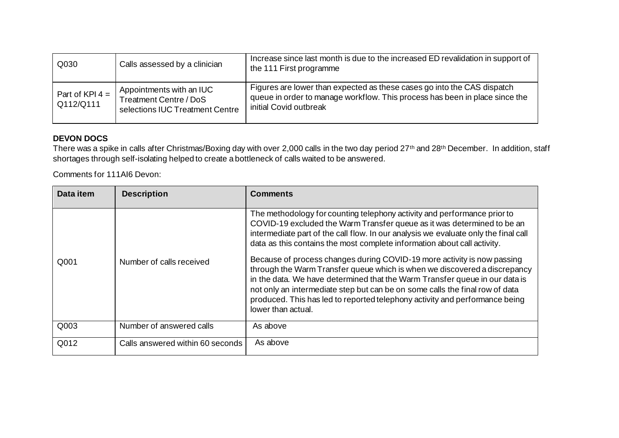| Q030                           | Calls assessed by a clinician                                                                | Increase since last month is due to the increased ED revalidation in support of<br>the 111 First programme                                                                       |
|--------------------------------|----------------------------------------------------------------------------------------------|----------------------------------------------------------------------------------------------------------------------------------------------------------------------------------|
| Part of KPI $4 =$<br>Q112/Q111 | Appointments with an IUC<br><b>Treatment Centre / DoS</b><br>selections IUC Treatment Centre | Figures are lower than expected as these cases go into the CAS dispatch<br>queue in order to manage workflow. This process has been in place since the<br>initial Covid outbreak |

#### **DEVON DOCS**

There was a spike in calls after Christmas/Boxing day with over 2,000 calls in the two day period 27<sup>th</sup> and 28<sup>th</sup> December. In addition, staff shortages through self-isolating helped to create a bottleneck of calls waited to be answered.

Comments for 111AI6 Devon:

| Data item | <b>Description</b>               | <b>Comments</b>                                                                                                                                                                                                                                                                                                                                                                                                                                                                                                                                                                                                                                                                                                                                    |
|-----------|----------------------------------|----------------------------------------------------------------------------------------------------------------------------------------------------------------------------------------------------------------------------------------------------------------------------------------------------------------------------------------------------------------------------------------------------------------------------------------------------------------------------------------------------------------------------------------------------------------------------------------------------------------------------------------------------------------------------------------------------------------------------------------------------|
| Q001      | Number of calls received         | The methodology for counting telephony activity and performance prior to<br>COVID-19 excluded the Warm Transfer queue as it was determined to be an<br>intermediate part of the call flow. In our analysis we evaluate only the final call<br>data as this contains the most complete information about call activity.<br>Because of process changes during COVID-19 more activity is now passing<br>through the Warm Transfer queue which is when we discovered a discrepancy<br>in the data. We have determined that the Warm Transfer queue in our data is<br>not only an intermediate step but can be on some calls the final row of data<br>produced. This has led to reported telephony activity and performance being<br>lower than actual. |
| Q003      | Number of answered calls         | As above                                                                                                                                                                                                                                                                                                                                                                                                                                                                                                                                                                                                                                                                                                                                           |
| Q012      | Calls answered within 60 seconds | As above                                                                                                                                                                                                                                                                                                                                                                                                                                                                                                                                                                                                                                                                                                                                           |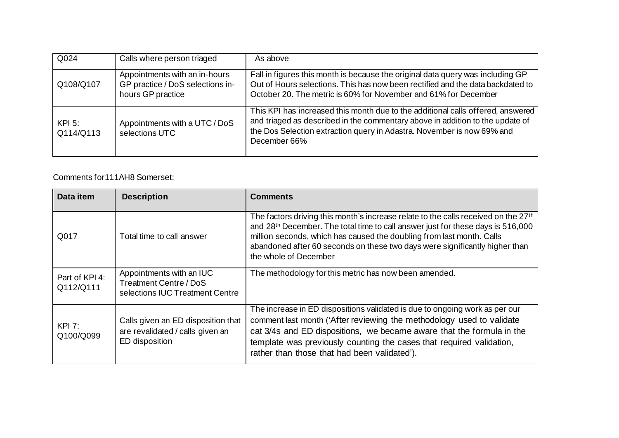| Q024                  | Calls where person triaged                                                             | As above                                                                                                                                                                                                                                                   |
|-----------------------|----------------------------------------------------------------------------------------|------------------------------------------------------------------------------------------------------------------------------------------------------------------------------------------------------------------------------------------------------------|
| Q108/Q107             | Appointments with an in-hours<br>GP practice / DoS selections in-<br>hours GP practice | Fall in figures this month is because the original data query was including GP<br>Out of Hours selections. This has now been rectified and the data backdated to<br>October 20. The metric is 60% for November and 61% for December                        |
| $KPI$ 5:<br>Q114/Q113 | Appointments with a UTC / DoS<br>selections UTC                                        | This KPI has increased this month due to the additional calls offered, answered<br>and triaged as described in the commentary above in addition to the update of<br>the Dos Selection extraction query in Adastra. November is now 69% and<br>December 66% |

## Comments for111AH8 Somerset:

| Data item                   | <b>Description</b>                                                                       | <b>Comments</b>                                                                                                                                                                                                                                                                                                                                                                |
|-----------------------------|------------------------------------------------------------------------------------------|--------------------------------------------------------------------------------------------------------------------------------------------------------------------------------------------------------------------------------------------------------------------------------------------------------------------------------------------------------------------------------|
| Q017                        | Total time to call answer                                                                | The factors driving this month's increase relate to the calls received on the 27 <sup>th</sup><br>and 28 <sup>th</sup> December. The total time to call answer just for these days is 516,000<br>million seconds, which has caused the doubling from last month. Calls<br>abandoned after 60 seconds on these two days were significantly higher than<br>the whole of December |
| Part of KPI 4:<br>Q112/Q111 | Appointments with an IUC<br>Treatment Centre / DoS<br>selections IUC Treatment Centre    | The methodology for this metric has now been amended.                                                                                                                                                                                                                                                                                                                          |
| KPI 7:<br>Q100/Q099         | Calls given an ED disposition that<br>are revalidated / calls given an<br>ED disposition | The increase in ED dispositions validated is due to ongoing work as per our<br>comment last month ('After reviewing the methodology used to validate<br>cat 3/4s and ED dispositions, we became aware that the formula in the<br>template was previously counting the cases that required validation,<br>rather than those that had been validated').                          |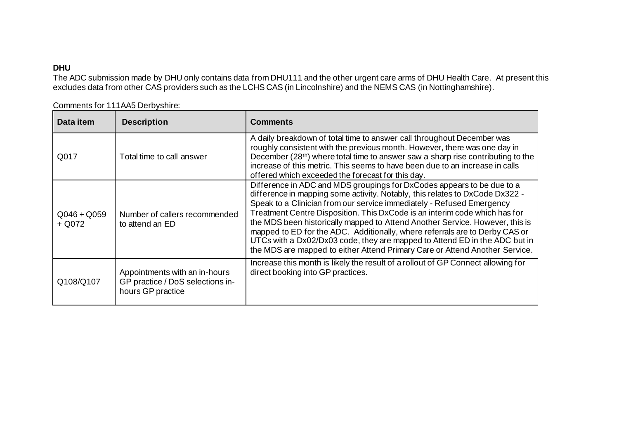## **DHU**

The ADC submission made by DHU only contains data from DHU111 and the other urgent care arms of DHU Health Care. At present this excludes data from other CAS providers such as the LCHS CAS (in Lincolnshire) and the NEMS CAS (in Nottinghamshire).

| Comments for 111AA5 Derbyshire: |
|---------------------------------|
|                                 |

| Data item                 | <b>Description</b>                                                                     | <b>Comments</b>                                                                                                                                                                                                                                                                                                                                                                                                                                                                                                                                                                                                                           |
|---------------------------|----------------------------------------------------------------------------------------|-------------------------------------------------------------------------------------------------------------------------------------------------------------------------------------------------------------------------------------------------------------------------------------------------------------------------------------------------------------------------------------------------------------------------------------------------------------------------------------------------------------------------------------------------------------------------------------------------------------------------------------------|
| Q017                      | Total time to call answer                                                              | A daily breakdown of total time to answer call throughout December was<br>roughly consistent with the previous month. However, there was one day in<br>December (28 <sup>th</sup> ) where total time to answer saw a sharp rise contributing to the<br>increase of this metric. This seems to have been due to an increase in calls<br>offered which exceeded the forecast for this day.                                                                                                                                                                                                                                                  |
| $Q046 + Q059$<br>$+$ Q072 | Number of callers recommended<br>to attend an ED                                       | Difference in ADC and MDS groupings for DxCodes appears to be due to a<br>difference in mapping some activity. Notably, this relates to DxCode Dx322 -<br>Speak to a Clinician from our service immediately - Refused Emergency<br>Treatment Centre Disposition. This DxCode is an interim code which has for<br>the MDS been historically mapped to Attend Another Service. However, this is<br>mapped to ED for the ADC. Additionally, where referrals are to Derby CAS or<br>UTCs with a Dx02/Dx03 code, they are mapped to Attend ED in the ADC but in<br>the MDS are mapped to either Attend Primary Care or Attend Another Service. |
| Q108/Q107                 | Appointments with an in-hours<br>GP practice / DoS selections in-<br>hours GP practice | Increase this month is likely the result of a rollout of GP Connect allowing for<br>direct booking into GP practices.                                                                                                                                                                                                                                                                                                                                                                                                                                                                                                                     |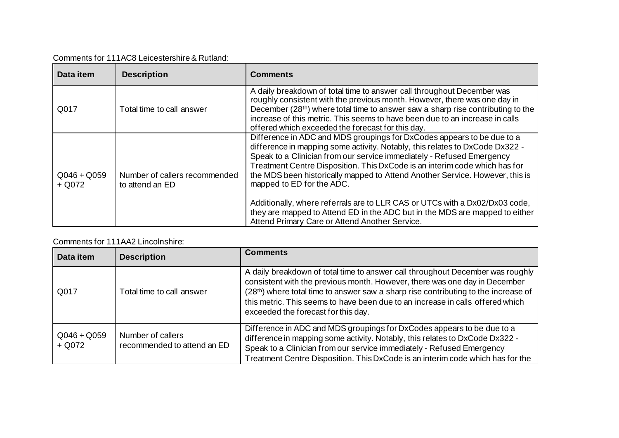| Comments for 111AC8 Leicestershire & Rutland: |  |
|-----------------------------------------------|--|
|-----------------------------------------------|--|

| Data item                 | <b>Description</b>                               | <b>Comments</b>                                                                                                                                                                                                                                                                                                                                                                                                                                                                                                                                                                                                                            |
|---------------------------|--------------------------------------------------|--------------------------------------------------------------------------------------------------------------------------------------------------------------------------------------------------------------------------------------------------------------------------------------------------------------------------------------------------------------------------------------------------------------------------------------------------------------------------------------------------------------------------------------------------------------------------------------------------------------------------------------------|
| Q017                      | Total time to call answer                        | A daily breakdown of total time to answer call throughout December was<br>roughly consistent with the previous month. However, there was one day in<br>December (28 <sup>th</sup> ) where total time to answer saw a sharp rise contributing to the<br>increase of this metric. This seems to have been due to an increase in calls<br>offered which exceeded the forecast for this day.                                                                                                                                                                                                                                                   |
| $Q046 + Q059$<br>$+$ Q072 | Number of callers recommended<br>to attend an ED | Difference in ADC and MDS groupings for DxCodes appears to be due to a<br>difference in mapping some activity. Notably, this relates to DxCode Dx322 -<br>Speak to a Clinician from our service immediately - Refused Emergency<br>Treatment Centre Disposition. This DxCode is an interim code which has for<br>the MDS been historically mapped to Attend Another Service. However, this is<br>mapped to ED for the ADC.<br>Additionally, where referrals are to LLR CAS or UTCs with a Dx02/Dx03 code,<br>they are mapped to Attend ED in the ADC but in the MDS are mapped to either<br>Attend Primary Care or Attend Another Service. |

## Comments for 111AA2 Lincolnshire:

| Data item                 | <b>Description</b>                               | <b>Comments</b>                                                                                                                                                                                                                                                                                                                                                             |
|---------------------------|--------------------------------------------------|-----------------------------------------------------------------------------------------------------------------------------------------------------------------------------------------------------------------------------------------------------------------------------------------------------------------------------------------------------------------------------|
| Q017                      | Total time to call answer                        | A daily breakdown of total time to answer call throughout December was roughly<br>consistent with the previous month. However, there was one day in December<br>(28th) where total time to answer saw a sharp rise contributing to the increase of<br>this metric. This seems to have been due to an increase in calls offered which<br>exceeded the forecast for this day. |
| $Q046 + Q059$<br>$+$ Q072 | Number of callers<br>recommended to attend an ED | Difference in ADC and MDS groupings for DxCodes appears to be due to a<br>difference in mapping some activity. Notably, this relates to DxCode Dx322 -<br>Speak to a Clinician from our service immediately - Refused Emergency<br>Treatment Centre Disposition. This DxCode is an interim code which has for the                                                           |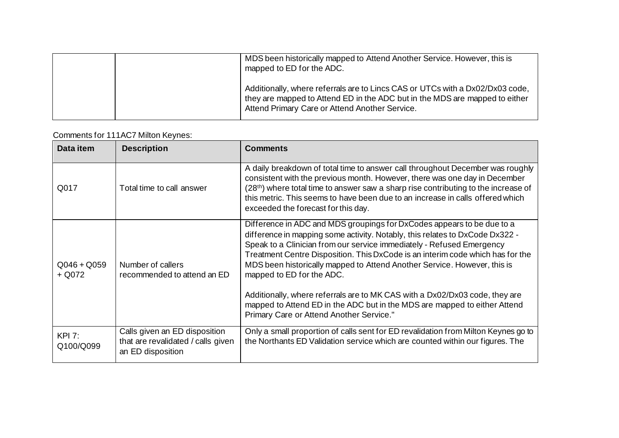|  | MDS been historically mapped to Attend Another Service. However, this is<br>mapped to ED for the ADC.                                                                                                          |
|--|----------------------------------------------------------------------------------------------------------------------------------------------------------------------------------------------------------------|
|  | Additionally, where referrals are to Lincs CAS or UTCs with a Dx02/Dx03 code,<br>they are mapped to Attend ED in the ADC but in the MDS are mapped to either<br>Attend Primary Care or Attend Another Service. |

# Comments for 111AC7 Milton Keynes:

| Data item                  | <b>Description</b>                                                                       | <b>Comments</b>                                                                                                                                                                                                                                                                                                                                                                                                                                                                                                                                                                                                                    |
|----------------------------|------------------------------------------------------------------------------------------|------------------------------------------------------------------------------------------------------------------------------------------------------------------------------------------------------------------------------------------------------------------------------------------------------------------------------------------------------------------------------------------------------------------------------------------------------------------------------------------------------------------------------------------------------------------------------------------------------------------------------------|
| Q017                       | Total time to call answer                                                                | A daily breakdown of total time to answer call throughout December was roughly<br>consistent with the previous month. However, there was one day in December<br>(28th) where total time to answer saw a sharp rise contributing to the increase of<br>this metric. This seems to have been due to an increase in calls offered which<br>exceeded the forecast for this day.                                                                                                                                                                                                                                                        |
| $Q046 + Q059$<br>$+$ Q072  | Number of callers<br>recommended to attend an ED                                         | Difference in ADC and MDS groupings for DxCodes appears to be due to a<br>difference in mapping some activity. Notably, this relates to DxCode Dx322 -<br>Speak to a Clinician from our service immediately - Refused Emergency<br>Treatment Centre Disposition. This DxCode is an interim code which has for the<br>MDS been historically mapped to Attend Another Service. However, this is<br>mapped to ED for the ADC.<br>Additionally, where referrals are to MK CAS with a Dx02/Dx03 code, they are<br>mapped to Attend ED in the ADC but in the MDS are mapped to either Attend<br>Primary Care or Attend Another Service." |
| <b>KPI 7:</b><br>Q100/Q099 | Calls given an ED disposition<br>that are revalidated / calls given<br>an ED disposition | Only a small proportion of calls sent for ED revalidation from Milton Keynes go to<br>the Northants ED Validation service which are counted within our figures. The                                                                                                                                                                                                                                                                                                                                                                                                                                                                |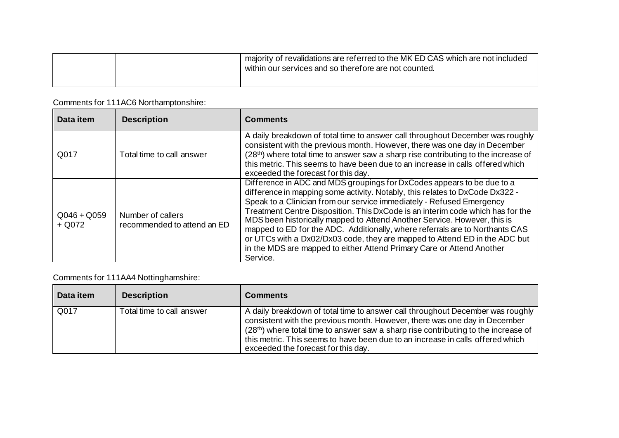|  | I majority of revalidations are referred to the MK ED CAS which are not included<br>within our services and so therefore are not counted. |
|--|-------------------------------------------------------------------------------------------------------------------------------------------|
|  |                                                                                                                                           |

# Comments for 111AC6 Northamptonshire:

| Data item                 | <b>Description</b>                               | <b>Comments</b>                                                                                                                                                                                                                                                                                                                                                                                                                                                                                                                                                                                                                                  |
|---------------------------|--------------------------------------------------|--------------------------------------------------------------------------------------------------------------------------------------------------------------------------------------------------------------------------------------------------------------------------------------------------------------------------------------------------------------------------------------------------------------------------------------------------------------------------------------------------------------------------------------------------------------------------------------------------------------------------------------------------|
| Q017                      | Total time to call answer                        | A daily breakdown of total time to answer call throughout December was roughly<br>consistent with the previous month. However, there was one day in December<br>(28 <sup>th</sup> ) where total time to answer saw a sharp rise contributing to the increase of<br>this metric. This seems to have been due to an increase in calls offered which<br>exceeded the forecast for this day.                                                                                                                                                                                                                                                         |
| $Q046 + Q059$<br>$+$ Q072 | Number of callers<br>recommended to attend an ED | Difference in ADC and MDS groupings for DxCodes appears to be due to a<br>difference in mapping some activity. Notably, this relates to DxCode Dx322 -<br>Speak to a Clinician from our service immediately - Refused Emergency<br>Treatment Centre Disposition. This DxCode is an interim code which has for the<br>MDS been historically mapped to Attend Another Service. However, this is<br>mapped to ED for the ADC. Additionally, where referrals are to Northants CAS<br>or UTCs with a Dx02/Dx03 code, they are mapped to Attend ED in the ADC but<br>in the MDS are mapped to either Attend Primary Care or Attend Another<br>Service. |

# Comments for 111AA4 Nottinghamshire:

| Data item | <b>Description</b>        | <b>Comments</b>                                                                                                                                                                                                                                                                                                                                                             |
|-----------|---------------------------|-----------------------------------------------------------------------------------------------------------------------------------------------------------------------------------------------------------------------------------------------------------------------------------------------------------------------------------------------------------------------------|
| Q017      | Total time to call answer | A daily breakdown of total time to answer call throughout December was roughly<br>consistent with the previous month. However, there was one day in December<br>(28th) where total time to answer saw a sharp rise contributing to the increase of<br>this metric. This seems to have been due to an increase in calls offered which<br>exceeded the forecast for this day. |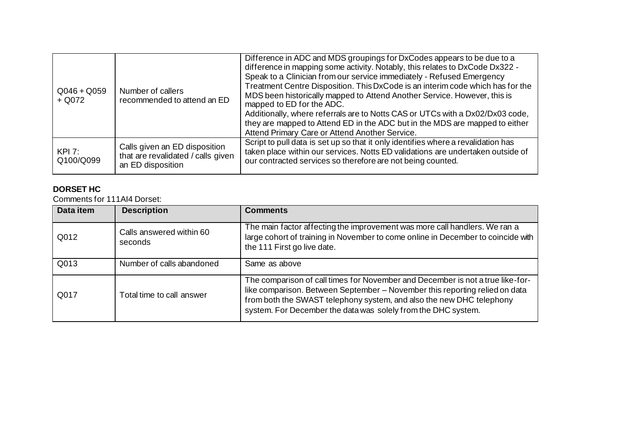| $Q046 + Q059$<br>$+$ Q072 | Number of callers<br>recommended to attend an ED                                         | Difference in ADC and MDS groupings for DxCodes appears to be due to a<br>difference in mapping some activity. Notably, this relates to DxCode Dx322 -<br>Speak to a Clinician from our service immediately - Refused Emergency<br>Treatment Centre Disposition. This DxCode is an interim code which has for the<br>MDS been historically mapped to Attend Another Service. However, this is<br>mapped to ED for the ADC.<br>Additionally, where referrals are to Notts CAS or UTCs with a Dx02/Dx03 code,<br>they are mapped to Attend ED in the ADC but in the MDS are mapped to either<br>Attend Primary Care or Attend Another Service. |
|---------------------------|------------------------------------------------------------------------------------------|----------------------------------------------------------------------------------------------------------------------------------------------------------------------------------------------------------------------------------------------------------------------------------------------------------------------------------------------------------------------------------------------------------------------------------------------------------------------------------------------------------------------------------------------------------------------------------------------------------------------------------------------|
| KPI 7:<br>Q100/Q099       | Calls given an ED disposition<br>that are revalidated / calls given<br>an ED disposition | Script to pull data is set up so that it only identifies where a revalidation has<br>taken place within our services. Notts ED validations are undertaken outside of<br>our contracted services so therefore are not being counted.                                                                                                                                                                                                                                                                                                                                                                                                          |

## **DORSET HC**

Comments for 111AI4 Dorset:

| Data item | <b>Description</b>                  | <b>Comments</b>                                                                                                                                                                                                                                                                                        |
|-----------|-------------------------------------|--------------------------------------------------------------------------------------------------------------------------------------------------------------------------------------------------------------------------------------------------------------------------------------------------------|
| Q012      | Calls answered within 60<br>seconds | The main factor affecting the improvement was more call handlers. We ran a<br>large cohort of training in November to come online in December to coincide with<br>the 111 First go live date.                                                                                                          |
| Q013      | Number of calls abandoned           | Same as above                                                                                                                                                                                                                                                                                          |
| Q017      | Total time to call answer           | The comparison of call times for November and December is not a true like-for-<br>like comparison. Between September - November this reporting relied on data<br>from both the SWAST telephony system, and also the new DHC telephony<br>system. For December the data was solely from the DHC system. |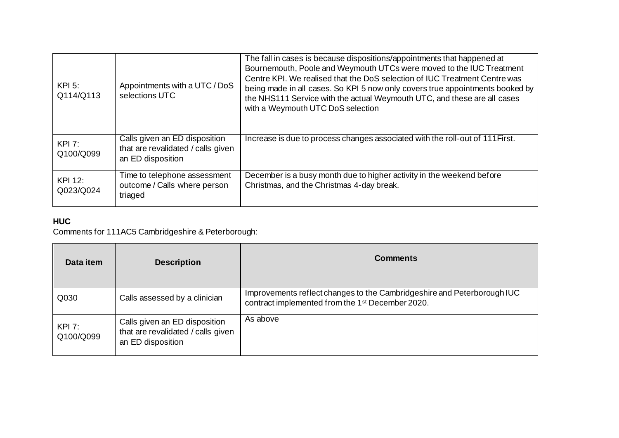| $KPI$ 5:<br>Q114/Q113 | Appointments with a UTC / DoS<br>selections UTC                                          | The fall in cases is because dispositions/appointments that happened at<br>Bournemouth, Poole and Weymouth UTCs were moved to the IUC Treatment<br>Centre KPI. We realised that the DoS selection of IUC Treatment Centre was<br>being made in all cases. So KPI 5 now only covers true appointments booked by<br>the NHS111 Service with the actual Weymouth UTC, and these are all cases<br>with a Weymouth UTC DoS selection |
|-----------------------|------------------------------------------------------------------------------------------|---------------------------------------------------------------------------------------------------------------------------------------------------------------------------------------------------------------------------------------------------------------------------------------------------------------------------------------------------------------------------------------------------------------------------------|
| KPI 7:<br>Q100/Q099   | Calls given an ED disposition<br>that are revalidated / calls given<br>an ED disposition | Increase is due to process changes associated with the roll-out of 111 First.                                                                                                                                                                                                                                                                                                                                                   |
| KPI 12:<br>Q023/Q024  | Time to telephone assessment<br>outcome / Calls where person<br>triaged                  | December is a busy month due to higher activity in the weekend before<br>Christmas, and the Christmas 4-day break.                                                                                                                                                                                                                                                                                                              |

# **HUC**

Comments for 111AC5 Cambridgeshire & Peterborough:

| Data item                  | <b>Description</b>                                                                       | <b>Comments</b>                                                                                                                         |
|----------------------------|------------------------------------------------------------------------------------------|-----------------------------------------------------------------------------------------------------------------------------------------|
| Q030                       | Calls assessed by a clinician                                                            | Improvements reflect changes to the Cambridgeshire and Peterborough IUC<br>contract implemented from the 1 <sup>st</sup> December 2020. |
| <b>KPI 7:</b><br>Q100/Q099 | Calls given an ED disposition<br>that are revalidated / calls given<br>an ED disposition | As above                                                                                                                                |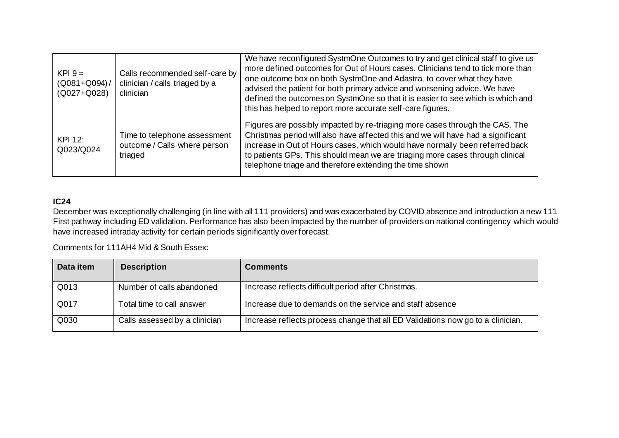| $KPI 9 =$<br>$(Q081 + Q094) /$<br>(Q027+Q028) | Calls recommended self-care by<br>clinician / calls triaged by a<br>clinician | We have reconfigured SystmOne Outcomes to try and get clinical staff to give us<br>more defined outcomes for Out of Hours cases. Clinicians tend to tick more than<br>one outcome box on both SystmOne and Adastra, to cover what they have<br>advised the patient for both primary advice and worsening advice. We have<br>defined the outcomes on SystmOne so that it is easier to see which is which and<br>this has helped to report more accurate self-care figures. |
|-----------------------------------------------|-------------------------------------------------------------------------------|---------------------------------------------------------------------------------------------------------------------------------------------------------------------------------------------------------------------------------------------------------------------------------------------------------------------------------------------------------------------------------------------------------------------------------------------------------------------------|
| KPI 12:<br>Q023/Q024                          | Time to telephone assessment<br>outcome / Calls where person<br>triaged       | Figures are possibly impacted by re-triaging more cases through the CAS. The<br>Christmas period will also have affected this and we will have had a significant<br>increase in Out of Hours cases, which would have normally been referred back<br>to patients GPs. This should mean we are triaging more cases through clinical<br>telephone triage and therefore extending the time shown                                                                              |

#### **IC24**

December was exceptionally challenging (in line with all 111 providers) and was exacerbated by COVID absence and introduction a new 111 First pathway including ED validation. Performance has also been impacted by the number of providers on national contingency which would have increased intraday activity for certain periods significantly over forecast.

Comments for 111AH4 Mid & South Essex:

| Data item | <b>Description</b>            | <b>Comments</b>                                                                 |
|-----------|-------------------------------|---------------------------------------------------------------------------------|
| Q013      | Number of calls abandoned     | Increase reflects difficult period after Christmas.                             |
| Q017      | Total time to call answer     | Increase due to demands on the service and staff absence                        |
| Q030      | Calls assessed by a clinician | Increase reflects process change that all ED Validations now go to a clinician. |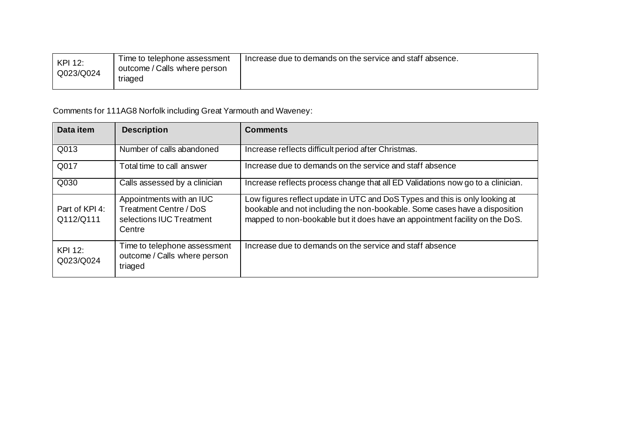| KPI 12:   | Time to telephone assessment            | Increase due to demands on the service and staff absence. |
|-----------|-----------------------------------------|-----------------------------------------------------------|
| Q023/Q024 | outcome / Calls where person<br>triaged |                                                           |
|           |                                         |                                                           |

Comments for 111AG8 Norfolk including Great Yarmouth and Waveney:

| Data item                   | <b>Description</b>                                                                              | <b>Comments</b>                                                                                                                                                                                                                          |
|-----------------------------|-------------------------------------------------------------------------------------------------|------------------------------------------------------------------------------------------------------------------------------------------------------------------------------------------------------------------------------------------|
| Q013                        | Number of calls abandoned                                                                       | Increase reflects difficult period after Christmas.                                                                                                                                                                                      |
| Q017                        | Total time to call answer                                                                       | Increase due to demands on the service and staff absence                                                                                                                                                                                 |
| Q030                        | Calls assessed by a clinician                                                                   | Increase reflects process change that all ED Validations now go to a clinician.                                                                                                                                                          |
| Part of KPI 4:<br>Q112/Q111 | Appointments with an IUC<br><b>Treatment Centre / DoS</b><br>selections IUC Treatment<br>Centre | Low figures reflect update in UTC and DoS Types and this is only looking at<br>bookable and not including the non-bookable. Some cases have a disposition<br>mapped to non-bookable but it does have an appointment facility on the DoS. |
| <b>KPI 12:</b><br>Q023/Q024 | Time to telephone assessment<br>outcome / Calls where person<br>triaged                         | Increase due to demands on the service and staff absence                                                                                                                                                                                 |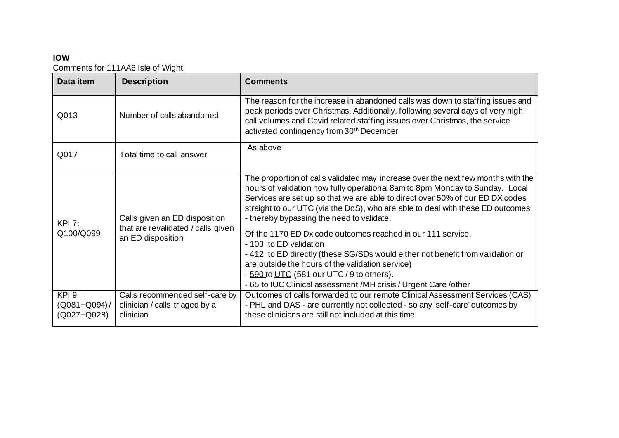## **IOW**

Comments for 111AA6 Isle of Wight

| Data item                  | <b>Description</b>                                                                       | <b>Comments</b>                                                                                                                                                                                                                                                                                                                                                                                                                                                                                                                                                                                                                                                                                                                |
|----------------------------|------------------------------------------------------------------------------------------|--------------------------------------------------------------------------------------------------------------------------------------------------------------------------------------------------------------------------------------------------------------------------------------------------------------------------------------------------------------------------------------------------------------------------------------------------------------------------------------------------------------------------------------------------------------------------------------------------------------------------------------------------------------------------------------------------------------------------------|
| Q013                       | Number of calls abandoned                                                                | The reason for the increase in abandoned calls was down to staffing issues and<br>peak periods over Christmas. Additionally, following several days of very high<br>call volumes and Covid related staffing issues over Christmas, the service<br>activated contingency from 30th December                                                                                                                                                                                                                                                                                                                                                                                                                                     |
| Q017                       | Total time to call answer                                                                | As above                                                                                                                                                                                                                                                                                                                                                                                                                                                                                                                                                                                                                                                                                                                       |
| <b>KPI 7:</b><br>Q100/Q099 | Calls given an ED disposition<br>that are revalidated / calls given<br>an ED disposition | The proportion of calls validated may increase over the next few months with the<br>hours of validation now fully operational 8am to 8pm Monday to Sunday. Local<br>Services are set up so that we are able to direct over 50% of our ED DX codes<br>straight to our UTC (via the DoS), who are able to deal with these ED outcomes<br>- thereby bypassing the need to validate.<br>Of the 1170 ED Dx code outcomes reached in our 111 service,<br>- 103 to ED validation<br>-412 to ED directly (these SG/SDs would either not benefit from validation or<br>are outside the hours of the validation service)<br>- 590 to UTC (581 our UTC / 9 to others).<br>- 65 to IUC Clinical assessment /MH crisis / Urgent Care /other |
| $KPI$ 9 =                  | Calls recommended self-care by                                                           | Outcomes of calls forwarded to our remote Clinical Assessment Services (CAS)                                                                                                                                                                                                                                                                                                                                                                                                                                                                                                                                                                                                                                                   |
| $(Q081 + Q094) /$          | clinician / calls triaged by a                                                           | - PHL and DAS - are currently not collected - so any 'self-care' outcomes by                                                                                                                                                                                                                                                                                                                                                                                                                                                                                                                                                                                                                                                   |
| (Q027+Q028)                | clinician                                                                                | these clinicians are still not included at this time                                                                                                                                                                                                                                                                                                                                                                                                                                                                                                                                                                                                                                                                           |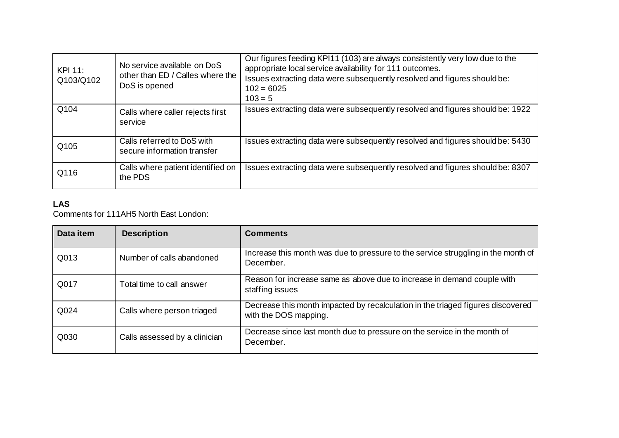| KPI 11:<br>Q103/Q102 | No service available on DoS<br>other than ED / Calles where the<br>DoS is opened | Our figures feeding KPI11 (103) are always consistently very low due to the<br>appropriate local service availability for 111 outcomes.<br>Issues extracting data were subsequently resolved and figures should be:<br>$102 = 6025$<br>$103 = 5$ |
|----------------------|----------------------------------------------------------------------------------|--------------------------------------------------------------------------------------------------------------------------------------------------------------------------------------------------------------------------------------------------|
| Q104                 | Calls where caller rejects first<br>service                                      | Issues extracting data were subsequently resolved and figures should be: 1922                                                                                                                                                                    |
| Q105                 | Calls referred to DoS with<br>secure information transfer                        | Issues extracting data were subsequently resolved and figures should be: 5430                                                                                                                                                                    |
| Q116                 | Calls where patient identified on<br>the PDS                                     | Issues extracting data were subsequently resolved and figures should be: 8307                                                                                                                                                                    |

## **LAS**

Comments for 111AH5 North East London:

| Data item | <b>Description</b>            | <b>Comments</b>                                                                                          |
|-----------|-------------------------------|----------------------------------------------------------------------------------------------------------|
| Q013      | Number of calls abandoned     | Increase this month was due to pressure to the service struggling in the month of<br>December.           |
| Q017      | Total time to call answer     | Reason for increase same as above due to increase in demand couple with<br>staffing issues               |
| Q024      | Calls where person triaged    | Decrease this month impacted by recalculation in the triaged figures discovered<br>with the DOS mapping. |
| Q030      | Calls assessed by a clinician | Decrease since last month due to pressure on the service in the month of<br>December.                    |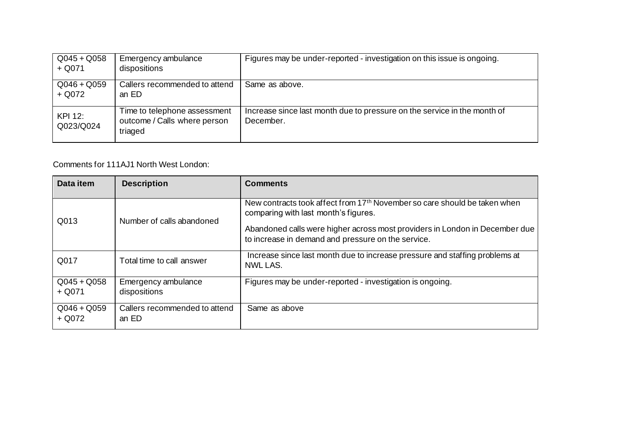| $Q045 + Q058$<br>$+$ Q071 | Emergency ambulance<br>dispositions                                     | Figures may be under-reported - investigation on this issue is ongoing.               |
|---------------------------|-------------------------------------------------------------------------|---------------------------------------------------------------------------------------|
| $Q046 + Q059$<br>$+$ Q072 | Callers recommended to attend<br>an ED                                  | Same as above.                                                                        |
| KPI 12:<br>Q023/Q024      | Time to telephone assessment<br>outcome / Calls where person<br>triaged | Increase since last month due to pressure on the service in the month of<br>December. |

## Comments for 111AJ1 North West London:

| Data item                 | <b>Description</b>                     | <b>Comments</b>                                                                                                                   |
|---------------------------|----------------------------------------|-----------------------------------------------------------------------------------------------------------------------------------|
| Q013                      | Number of calls abandoned              | New contracts took affect from 17th November so care should be taken when<br>comparing with last month's figures.                 |
|                           |                                        | Abandoned calls were higher across most providers in London in December due<br>to increase in demand and pressure on the service. |
| Q017                      | Total time to call answer              | Increase since last month due to increase pressure and staffing problems at<br>NWL LAS.                                           |
| $Q045 + Q058$<br>$+$ Q071 | Emergency ambulance<br>dispositions    | Figures may be under-reported - investigation is ongoing.                                                                         |
| $Q046 + Q059$<br>$+$ Q072 | Callers recommended to attend<br>an ED | Same as above                                                                                                                     |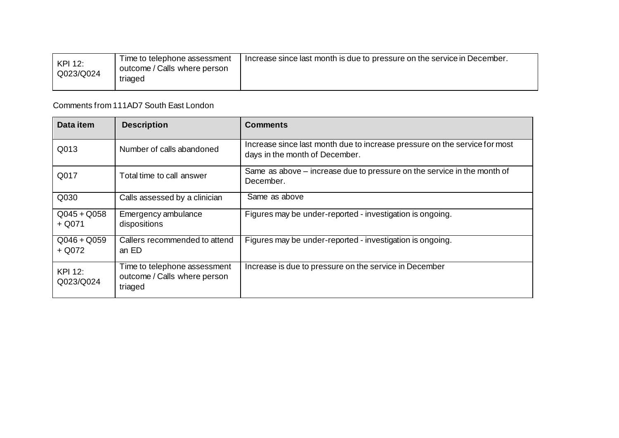| KPI 12:<br>Q023/Q024 | Time to telephone assessment<br>outcome / Calls where person<br>triaged | Increase since last month is due to pressure on the service in December. |
|----------------------|-------------------------------------------------------------------------|--------------------------------------------------------------------------|
|                      |                                                                         |                                                                          |

Comments from 111AD7 South East London

| Data item                   | <b>Description</b>                                                      | <b>Comments</b>                                                                                              |
|-----------------------------|-------------------------------------------------------------------------|--------------------------------------------------------------------------------------------------------------|
| Q013                        | Number of calls abandoned                                               | Increase since last month due to increase pressure on the service for most<br>days in the month of December. |
| Q017                        | Total time to call answer                                               | Same as above - increase due to pressure on the service in the month of<br>December.                         |
| Q030                        | Calls assessed by a clinician                                           | Same as above                                                                                                |
| $Q045 + Q058$<br>$+$ Q071   | Emergency ambulance<br>dispositions                                     | Figures may be under-reported - investigation is ongoing.                                                    |
| $Q046 + Q059$<br>+ Q072     | Callers recommended to attend<br>an ED                                  | Figures may be under-reported - investigation is ongoing.                                                    |
| <b>KPI 12:</b><br>Q023/Q024 | Time to telephone assessment<br>outcome / Calls where person<br>triaged | Increase is due to pressure on the service in December                                                       |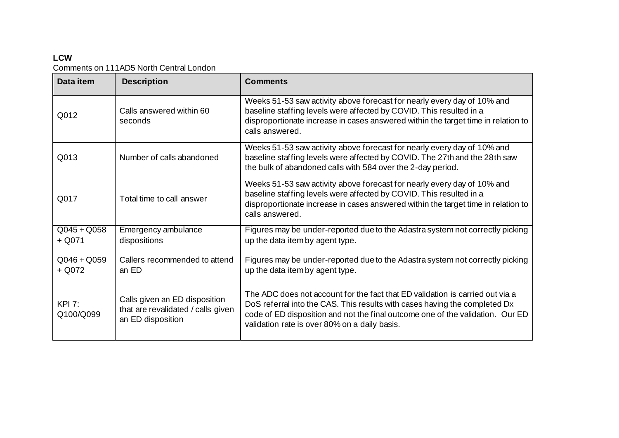## **LCW** Comments on 111AD5 North Central London

| Data item                  | <b>Description</b>                                                                       | <b>Comments</b>                                                                                                                                                                                                                                                                                |
|----------------------------|------------------------------------------------------------------------------------------|------------------------------------------------------------------------------------------------------------------------------------------------------------------------------------------------------------------------------------------------------------------------------------------------|
| Q012                       | Calls answered within 60<br>seconds                                                      | Weeks 51-53 saw activity above forecast for nearly every day of 10% and<br>baseline staffing levels were affected by COVID. This resulted in a<br>disproportionate increase in cases answered within the target time in relation to<br>calls answered.                                         |
| Q013                       | Number of calls abandoned                                                                | Weeks 51-53 saw activity above forecast for nearly every day of 10% and<br>baseline staffing levels were affected by COVID. The 27th and the 28th saw<br>the bulk of abandoned calls with 584 over the 2-day period.                                                                           |
| Q017                       | Total time to call answer                                                                | Weeks 51-53 saw activity above forecast for nearly every day of 10% and<br>baseline staffing levels were affected by COVID. This resulted in a<br>disproportionate increase in cases answered within the target time in relation to<br>calls answered.                                         |
| $Q045 + Q058$<br>$+$ Q071  | Emergency ambulance<br>dispositions                                                      | Figures may be under-reported due to the Adastra system not correctly picking<br>up the data item by agent type.                                                                                                                                                                               |
| $Q046 + Q059$<br>$+$ Q072  | Callers recommended to attend<br>an ED                                                   | Figures may be under-reported due to the Adastra system not correctly picking<br>up the data item by agent type.                                                                                                                                                                               |
| <b>KPI 7:</b><br>Q100/Q099 | Calls given an ED disposition<br>that are revalidated / calls given<br>an ED disposition | The ADC does not account for the fact that ED validation is carried out via a<br>DoS referral into the CAS. This results with cases having the completed Dx<br>code of ED disposition and not the final outcome one of the validation. Our ED<br>validation rate is over 80% on a daily basis. |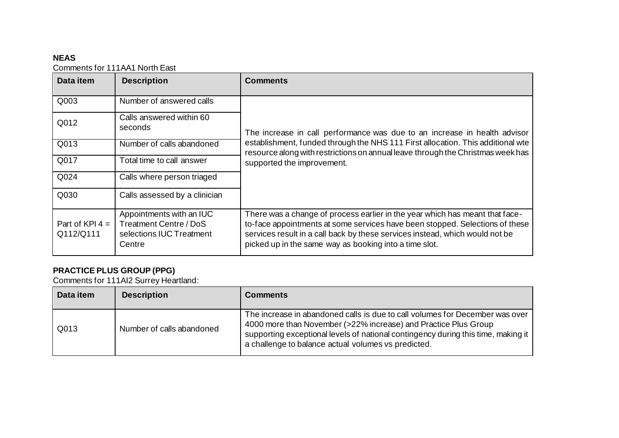## **NEAS**

Comments for 111AA1 North East

| Data item                      | <b>Description</b>                                                                       | <b>Comments</b>                                                                                                                                                                                                                                                                                        |
|--------------------------------|------------------------------------------------------------------------------------------|--------------------------------------------------------------------------------------------------------------------------------------------------------------------------------------------------------------------------------------------------------------------------------------------------------|
| Q003                           | Number of answered calls                                                                 |                                                                                                                                                                                                                                                                                                        |
| Q012                           | Calls answered within 60<br>seconds                                                      | The increase in call performance was due to an increase in health advisor<br>establishment, funded through the NHS 111 First allocation. This additional wte<br>resource along with restrictions on annual leave through the Christmas week has<br>supported the improvement.                          |
| Q013                           | Number of calls abandoned                                                                |                                                                                                                                                                                                                                                                                                        |
| Q017                           | Total time to call answer                                                                |                                                                                                                                                                                                                                                                                                        |
| Q024                           | Calls where person triaged                                                               |                                                                                                                                                                                                                                                                                                        |
| Q030                           | Calls assessed by a clinician                                                            |                                                                                                                                                                                                                                                                                                        |
| Part of KPI $4 =$<br>Q112/Q111 | Appointments with an IUC<br>Treatment Centre / DoS<br>selections IUC Treatment<br>Centre | There was a change of process earlier in the year which has meant that face-<br>to-face appointments at some services have been stopped. Selections of these<br>services result in a call back by these services instead, which would not be<br>picked up in the same way as booking into a time slot. |

#### **PRACTICE PLUS GROUP (PPG)**

Comments for 111AI2 Surrey Heartland:

| Data item | <b>Description</b>        | <b>Comments</b>                                                                                                                                                                                                                                                                             |
|-----------|---------------------------|---------------------------------------------------------------------------------------------------------------------------------------------------------------------------------------------------------------------------------------------------------------------------------------------|
| Q013      | Number of calls abandoned | The increase in abandoned calls is due to call volumes for December was over<br>4000 more than November (>22% increase) and Practice Plus Group<br>supporting exceptional levels of national contingency during this time, making it<br>a challenge to balance actual volumes vs predicted. |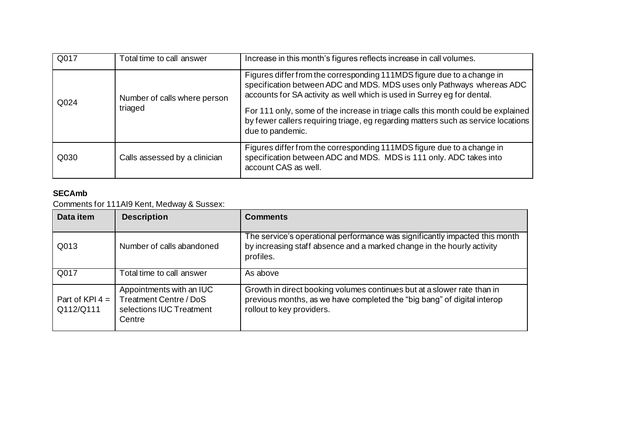| Q017 | Total time to call answer               | Increase in this month's figures reflects increase in call volumes.                                                                                                                                                        |
|------|-----------------------------------------|----------------------------------------------------------------------------------------------------------------------------------------------------------------------------------------------------------------------------|
| Q024 | Number of calls where person<br>triaged | Figures differ from the corresponding 111MDS figure due to a change in<br>specification between ADC and MDS. MDS uses only Pathways whereas ADC<br>accounts for SA activity as well which is used in Surrey eg for dental. |
|      |                                         | For 111 only, some of the increase in triage calls this month could be explained<br>by fewer callers requiring triage, eg regarding matters such as service locations<br>due to pandemic.                                  |
| Q030 | Calls assessed by a clinician           | Figures differ from the corresponding 111MDS figure due to a change in<br>specification between ADC and MDS. MDS is 111 only. ADC takes into<br>account CAS as well.                                                       |

## **SECAmb**

Comments for 111AI9 Kent, Medway & Sussex:

| Data item                      | <b>Description</b>                                                                       | <b>Comments</b>                                                                                                                                                                 |
|--------------------------------|------------------------------------------------------------------------------------------|---------------------------------------------------------------------------------------------------------------------------------------------------------------------------------|
| Q013                           | Number of calls abandoned                                                                | The service's operational performance was significantly impacted this month<br>by increasing staff absence and a marked change in the hourly activity<br>profiles.              |
| Q017                           | Total time to call answer                                                                | As above                                                                                                                                                                        |
| Part of KPI $4 =$<br>Q112/Q111 | Appointments with an IUC<br>Treatment Centre / DoS<br>selections IUC Treatment<br>Centre | Growth in direct booking volumes continues but at a slower rate than in<br>previous months, as we have completed the "big bang" of digital interop<br>rollout to key providers. |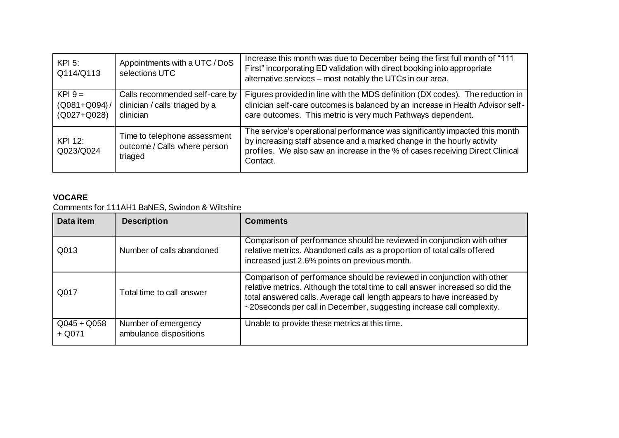| $KPI$ 5:<br>Q114/Q113                        | Appointments with a UTC / DoS<br>selections UTC                               | Increase this month was due to December being the first full month of "111<br>First" incorporating ED validation with direct booking into appropriate<br>alternative services - most notably the UTCs in our area.                                 |
|----------------------------------------------|-------------------------------------------------------------------------------|----------------------------------------------------------------------------------------------------------------------------------------------------------------------------------------------------------------------------------------------------|
| $KPI 9 =$<br>$(Q081 + Q094)/$<br>(Q027+Q028) | Calls recommended self-care by<br>clinician / calls triaged by a<br>clinician | Figures provided in line with the MDS definition (DX codes). The reduction in<br>clinician self-care outcomes is balanced by an increase in Health Advisor self-<br>care outcomes. This metric is very much Pathways dependent.                    |
| KPI 12:<br>Q023/Q024                         | Time to telephone assessment<br>outcome / Calls where person<br>triaged       | The service's operational performance was significantly impacted this month<br>by increasing staff absence and a marked change in the hourly activity<br>profiles. We also saw an increase in the % of cases receiving Direct Clinical<br>Contact. |

## **VOCARE**

Comments for 111AH1 BaNES, Swindon & Wiltshire

| Data item                 | <b>Description</b>                            | <b>Comments</b>                                                                                                                                                                                                                                                                                             |
|---------------------------|-----------------------------------------------|-------------------------------------------------------------------------------------------------------------------------------------------------------------------------------------------------------------------------------------------------------------------------------------------------------------|
| Q013                      | Number of calls abandoned                     | Comparison of performance should be reviewed in conjunction with other<br>relative metrics. Abandoned calls as a proportion of total calls offered<br>increased just 2.6% points on previous month.                                                                                                         |
| Q017                      | Total time to call answer                     | Comparison of performance should be reviewed in conjunction with other<br>relative metrics. Although the total time to call answer increased so did the<br>total answered calls. Average call length appears to have increased by<br>~20 seconds per call in December, suggesting increase call complexity. |
| $Q045 + Q058$<br>$+$ Q071 | Number of emergency<br>ambulance dispositions | Unable to provide these metrics at this time.                                                                                                                                                                                                                                                               |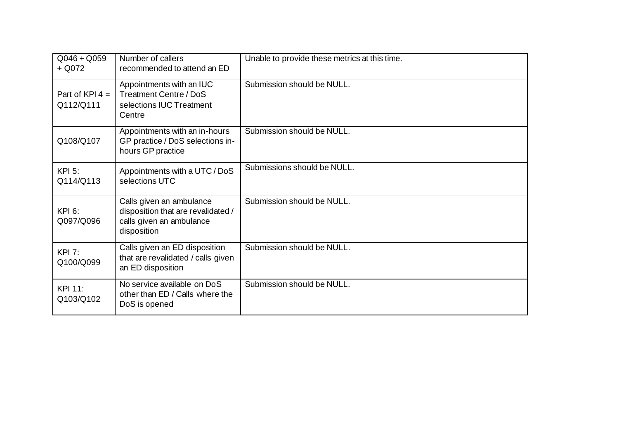| $Q046 + Q059$<br>$+$ Q072      | Number of callers<br>recommended to attend an ED                                                          | Unable to provide these metrics at this time. |
|--------------------------------|-----------------------------------------------------------------------------------------------------------|-----------------------------------------------|
| Part of KPI $4 =$<br>Q112/Q111 | Appointments with an IUC<br>Treatment Centre / DoS<br>selections IUC Treatment<br>Centre                  | Submission should be NULL.                    |
| Q108/Q107                      | Appointments with an in-hours<br>GP practice / DoS selections in-<br>hours GP practice                    | Submission should be NULL.                    |
| $KPI$ 5:<br>Q114/Q113          | Appointments with a UTC / DoS<br>selections UTC                                                           | Submissions should be NULL.                   |
| <b>KPI 6:</b><br>Q097/Q096     | Calls given an ambulance<br>disposition that are revalidated /<br>calls given an ambulance<br>disposition | Submission should be NULL.                    |
| <b>KPI 7:</b><br>Q100/Q099     | Calls given an ED disposition<br>that are revalidated / calls given<br>an ED disposition                  | Submission should be NULL.                    |
| KPI 11:<br>Q103/Q102           | No service available on DoS<br>other than ED / Calls where the<br>DoS is opened                           | Submission should be NULL.                    |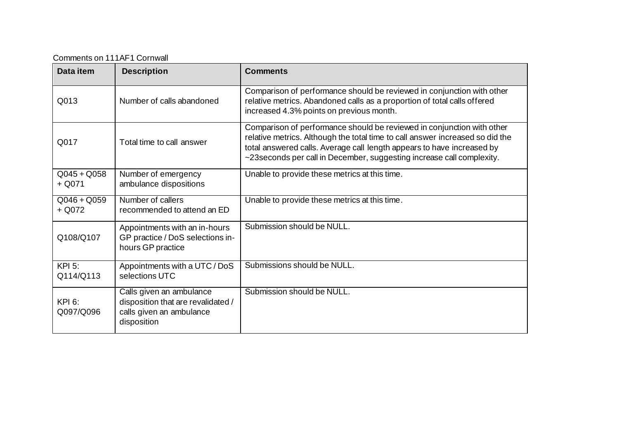Comments on 111AF1 Cornwall

| Data item                  | <b>Description</b>                                                                                        | <b>Comments</b>                                                                                                                                                                                                                                                                                             |
|----------------------------|-----------------------------------------------------------------------------------------------------------|-------------------------------------------------------------------------------------------------------------------------------------------------------------------------------------------------------------------------------------------------------------------------------------------------------------|
| Q013                       | Number of calls abandoned                                                                                 | Comparison of performance should be reviewed in conjunction with other<br>relative metrics. Abandoned calls as a proportion of total calls offered<br>increased 4.3% points on previous month.                                                                                                              |
| Q017                       | Total time to call answer                                                                                 | Comparison of performance should be reviewed in conjunction with other<br>relative metrics. Although the total time to call answer increased so did the<br>total answered calls. Average call length appears to have increased by<br>~23 seconds per call in December, suggesting increase call complexity. |
| $Q045 + Q058$<br>$+$ Q071  | Number of emergency<br>ambulance dispositions                                                             | Unable to provide these metrics at this time.                                                                                                                                                                                                                                                               |
| $Q046 + Q059$<br>$+$ Q072  | Number of callers<br>recommended to attend an ED                                                          | Unable to provide these metrics at this time.                                                                                                                                                                                                                                                               |
| Q108/Q107                  | Appointments with an in-hours<br>GP practice / DoS selections in-<br>hours GP practice                    | Submission should be NULL.                                                                                                                                                                                                                                                                                  |
| <b>KPI 5:</b><br>Q114/Q113 | Appointments with a UTC / DoS<br>selections UTC                                                           | Submissions should be NULL.                                                                                                                                                                                                                                                                                 |
| <b>KPI 6:</b><br>Q097/Q096 | Calls given an ambulance<br>disposition that are revalidated /<br>calls given an ambulance<br>disposition | Submission should be NULL.                                                                                                                                                                                                                                                                                  |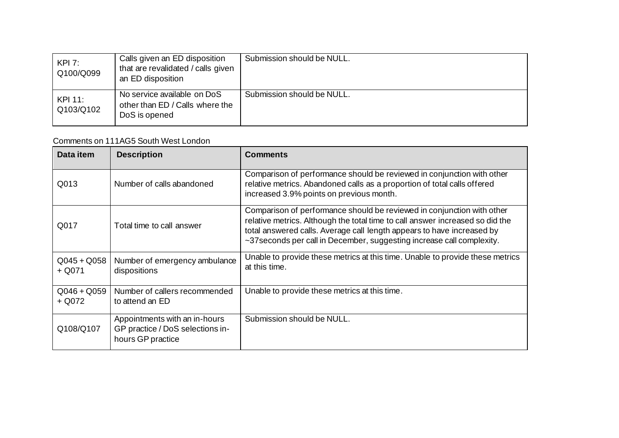| KPI 7:<br>Q100/Q099  | Calls given an ED disposition<br>that are revalidated / calls given<br>an ED disposition | Submission should be NULL. |
|----------------------|------------------------------------------------------------------------------------------|----------------------------|
| KPI 11:<br>Q103/Q102 | No service available on DoS<br>other than ED / Calls where the<br>DoS is opened          | Submission should be NULL. |

### Comments on 111AG5 South West London

| Data item                 | <b>Description</b>                                                                     | <b>Comments</b>                                                                                                                                                                                                                                                                                             |
|---------------------------|----------------------------------------------------------------------------------------|-------------------------------------------------------------------------------------------------------------------------------------------------------------------------------------------------------------------------------------------------------------------------------------------------------------|
| Q013                      | Number of calls abandoned                                                              | Comparison of performance should be reviewed in conjunction with other<br>relative metrics. Abandoned calls as a proportion of total calls offered<br>increased 3.9% points on previous month.                                                                                                              |
| Q017                      | Total time to call answer                                                              | Comparison of performance should be reviewed in conjunction with other<br>relative metrics. Although the total time to call answer increased so did the<br>total answered calls. Average call length appears to have increased by<br>~37 seconds per call in December, suggesting increase call complexity. |
| $Q045 + Q058$<br>$+$ Q071 | Number of emergency ambulance<br>dispositions                                          | Unable to provide these metrics at this time. Unable to provide these metrics<br>at this time.                                                                                                                                                                                                              |
| $Q046 + Q059$<br>$+$ Q072 | Number of callers recommended<br>to attend an ED                                       | Unable to provide these metrics at this time.                                                                                                                                                                                                                                                               |
| Q108/Q107                 | Appointments with an in-hours<br>GP practice / DoS selections in-<br>hours GP practice | Submission should be NULL.                                                                                                                                                                                                                                                                                  |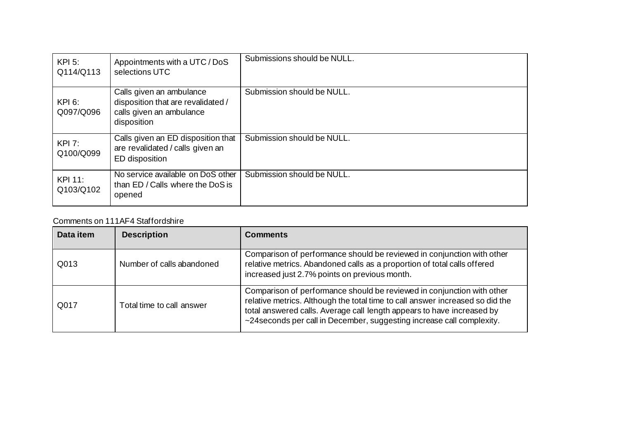| $KPI$ 5:<br>Q114/Q113       | Appointments with a UTC / DoS<br>selections UTC                                                           | Submissions should be NULL. |
|-----------------------------|-----------------------------------------------------------------------------------------------------------|-----------------------------|
| <b>KPI 6:</b><br>Q097/Q096  | Calls given an ambulance<br>disposition that are revalidated /<br>calls given an ambulance<br>disposition | Submission should be NULL.  |
| KPI 7:<br>Q100/Q099         | Calls given an ED disposition that<br>are revalidated / calls given an<br>ED disposition                  | Submission should be NULL.  |
| <b>KPI 11:</b><br>Q103/Q102 | No service available on DoS other<br>than ED / Calls where the DoS is<br>opened                           | Submission should be NULL.  |

#### Comments on 111AF4 Staffordshire

| Data item | <b>Description</b>        | <b>Comments</b>                                                                                                                                                                                                                                                                                             |
|-----------|---------------------------|-------------------------------------------------------------------------------------------------------------------------------------------------------------------------------------------------------------------------------------------------------------------------------------------------------------|
| Q013      | Number of calls abandoned | Comparison of performance should be reviewed in conjunction with other<br>relative metrics. Abandoned calls as a proportion of total calls offered<br>increased just 2.7% points on previous month.                                                                                                         |
| Q017      | Total time to call answer | Comparison of performance should be reviewed in conjunction with other<br>relative metrics. Although the total time to call answer increased so did the<br>total answered calls. Average call length appears to have increased by<br>~24 seconds per call in December, suggesting increase call complexity. |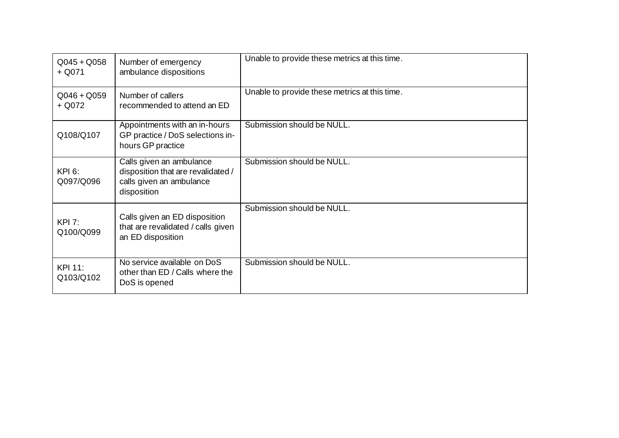| $Q045 + Q058$<br>$+$ Q071  | Number of emergency<br>ambulance dispositions                                                             | Unable to provide these metrics at this time. |
|----------------------------|-----------------------------------------------------------------------------------------------------------|-----------------------------------------------|
| $Q046 + Q059$<br>+ Q072    | Number of callers<br>recommended to attend an ED                                                          | Unable to provide these metrics at this time. |
| Q108/Q107                  | Appointments with an in-hours<br>GP practice / DoS selections in-<br>hours GP practice                    | Submission should be NULL.                    |
| <b>KPI 6:</b><br>Q097/Q096 | Calls given an ambulance<br>disposition that are revalidated /<br>calls given an ambulance<br>disposition | Submission should be NULL.                    |
| KPI 7:<br>Q100/Q099        | Calls given an ED disposition<br>that are revalidated / calls given<br>an ED disposition                  | Submission should be NULL.                    |
| KPI 11:<br>Q103/Q102       | No service available on DoS<br>other than ED / Calls where the<br>DoS is opened                           | Submission should be NULL.                    |